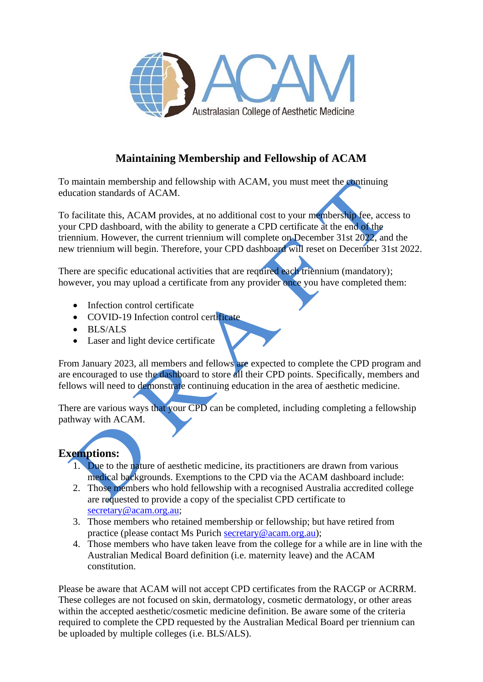

## **Maintaining Membership and Fellowship of ACAM**

To maintain membership and fellowship with ACAM, you must meet the continuing education standards of ACAM.

To facilitate this, ACAM provides, at no additional cost to your membership fee, access to your CPD dashboard, with the ability to generate a CPD certificate at the end of the triennium. However, the current triennium will complete on December 31st 2022, and the new triennium will begin. Therefore, your CPD dashboard will reset on December 31st 2022.

There are specific educational activities that are required each triennium (mandatory); however, you may upload a certificate from any provider once you have completed them:

- Infection control certificate
- COVID-19 Infection control certificate
- BLS/ALS
- Laser and light device certificate

From January 2023, all members and fellows are expected to complete the CPD program and are encouraged to use the dashboard to store all their CPD points. Specifically, members and fellows will need to demonstrate continuing education in the area of aesthetic medicine.

There are various ways that your CPD can be completed, including completing a fellowship pathway with ACAM.

## **Exemptions:**

- 1. Due to the nature of aesthetic medicine, its practitioners are drawn from various medical backgrounds. Exemptions to the CPD via the ACAM dashboard include:
- 2. Those members who hold fellowship with a recognised Australia accredited college are requested to provide a copy of the specialist CPD certificate to [secretary@acam.org.au;](mailto:secretary@acam.org.au)
- 3. Those members who retained membership or fellowship; but have retired from practice (please contact Ms Purich [secretary@acam.org.au\)](mailto:secretary@acam.org.au);
- 4. Those members who have taken leave from the college for a while are in line with the Australian Medical Board definition (i.e. maternity leave) and the ACAM constitution.

Please be aware that ACAM will not accept CPD certificates from the RACGP or ACRRM. These colleges are not focused on skin, dermatology, cosmetic dermatology, or other areas within the accepted aesthetic/cosmetic medicine definition. Be aware some of the criteria required to complete the CPD requested by the Australian Medical Board per triennium can be uploaded by multiple colleges (i.e. BLS/ALS).